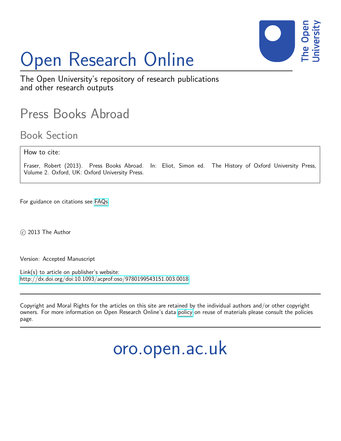

# Open Research Online

The Open University's repository of research publications and other research outputs

# Press Books Abroad

Book Section

### How to cite:

Fraser, Robert (2013). Press Books Abroad. In: Eliot, Simon ed. The History of Oxford University Press, Volume 2. Oxford, UK: Oxford University Press.

For guidance on citations see [FAQs.](http://oro.open.ac.uk/help/helpfaq.html)

c 2013 The Author

Version: Accepted Manuscript

Link(s) to article on publisher's website: <http://dx.doi.org/doi:10.1093/acprof:oso/9780199543151.003.0018>

Copyright and Moral Rights for the articles on this site are retained by the individual authors and/or other copyright owners. For more information on Open Research Online's data [policy](http://oro.open.ac.uk/policies.html) on reuse of materials please consult the policies page.

oro.open.ac.uk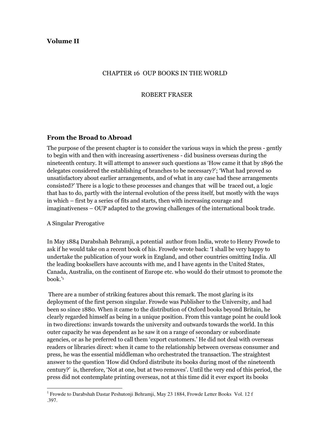# Volume II

#### CHAPTER 16 OUP BOOKS IN THE WORLD

#### ROBERT FRASER

#### From the Broad to Abroad

The purpose of the present chapter is to consider the various ways in which the press - gently to begin with and then with increasing assertiveness - did business overseas during the nineteenth century. It will attempt to answer such questions as 'How came it that by 1896 the delegates considered the establishing of branches to be necessary?'; 'What had proved so unsatisfactory about earlier arrangements, and of what in any case had these arrangements consisted?' There is a logic to these processes and changes that will be traced out, a logic that has to do, partly with the internal evolution of the press itself, but mostly with the ways in which – first by a series of fits and starts, then with increasing courage and imaginativeness – OUP adapted to the growing challenges of the international book trade.

A Singular Prerogative

 $\overline{a}$ 

In May 1884 Darabshah Behramji, a potential author from India, wrote to Henry Frowde to ask if he would take on a recent book of his. Frowde wrote back: 'I shall be very happy to undertake the publication of your work in England, and other countries omitting India. All the leading booksellers have accounts with me, and I have agents in the United States, Canada, Australia, on the continent of Europe etc. who would do their utmost to promote the book.'<sup>1</sup>

 There are a number of striking features about this remark. The most glaring is its deployment of the first person singular. Frowde was Publisher to the University, and had been so since 1880. When it came to the distribution of Oxford books beyond Britain, he clearly regarded himself as being in a unique position. From this vantage point he could look in two directions: inwards towards the university and outwards towards the world. In this outer capacity he was dependent as he saw it on a range of secondary or subordinate agencies, or as he preferred to call them 'export customers.' He did not deal with overseas readers or libraries direct: when it came to the relationship between overseas consumer and press, he was the essential middleman who orchestrated the transaction. The straightest answer to the question 'How did Oxford distribute its books during most of the nineteenth century?' is, therefore, 'Not at one, but at two removes'. Until the very end of this period, the press did not contemplate printing overseas, not at this time did it ever export its books

<sup>&</sup>lt;sup>1</sup> Frowde to Darabshah Dastar Peshutonji Behramji, May 23 1884, Frowde Letter Books Vol. 12 f .397.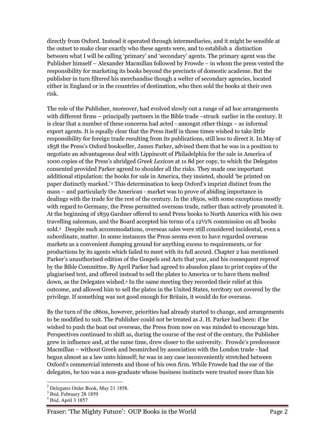directly from Oxford. Instead it operated through intermediaries, and it might be sensible at the outset to make clear exactly who these agents were, and to establish a distinction between what I will be calling 'primary' and 'secondary' agents. The primary agent was the Publisher himself – Alexander Macmillan followed by Frowde – in whom the press vested the responsibility for marketing its books beyond the precincts of domestic academe. But the publisher in turn filtered his merchandise though a welter of secondary agencies, located either in England or in the countries of destination, who then sold the books at their own risk.

The role of the Publisher, moreover, had evolved slowly out a range of ad hoc arrangements with different firms – principally partners in the Bible trade –struck earlier in the century. It is clear that a number of these concerns had acted - amongst other things – as informal export agents. It is equally clear that the Press itself in those times wished to take little responsibility for foreign trade resulting from its publications, still less to direct it. In May of 1858 the Press's Oxford bookseller, James Parker, advised them that he was in a position to negotiate an advantageous deal with Lippincott of Philadelphia for the sale in America of 1000 copies of the Press's abridged Greek Lexicon at 1s 8d per copy, to which the Delegates consented provided Parker agreed to shoulder all the risks. They made one important additional stipulation: the books for sale in America, they insisted, should 'be printed on paper distinctly marked.' 2 This determination to keep Oxford's imprint distinct from the mass – and particularly the American - market was to prove of abiding importance in dealings with the trade for the rest of the century. In the 1850s, with some exceptions mostly with regard to Germany, the Press permitted overseas trade, rather than actively promoted it. At the beginning of 1859 Gardner offered to send Press books to North America with his own travelling salesman, and the Board accepted his terms of a 12½% commission on all books sold.<sup>3</sup> Despite such accommodations, overseas sales were still considered incidental, even a subordinate, matter. In some instances the Press seems even to have regarded overseas markets as a convenient dumping ground for anything excess to requirements, or for productions by its agents which failed to meet with its full accord. Chapter 2 has mentioned Parker's unauthorised edition of the Gospels and Acts that year, and his consequent reproof by the Bible Committee. By April Parker had agreed to abandon plans to print copies of the plagiarised text, and offered instead to sell the plates to America or to have them melted down, as the Delegates wished.<sup>4</sup> In the same meeting they recorded their relief at this outcome, and allowed him to sell the plates in the United States, territory not covered by the privilege. If something was not good enough for Britain, it would do for overseas.

By the turn of the 1860s, however, priorities had already started to change, and arrangements to be modified to suit. The Publisher could not be treated as J. H. Parker had been: if he wished to push the boat out overseas, the Press from now on was minded to encourage him. Perspectives continued to shift as, during the course of the rest of the century, the Publisher grew in influence and, at the same time, drew closer to the university. Frowde's predecessor Macmillan – without Greek and besmirched by association with the London trade - had begun almost as a law unto himself; he was in any case inconveniently stretched between Oxford's commercial interests and those of his own firm. While Frowde had the ear of the delegates, he too was a non-graduate whose business instincts were trusted more than his

 $2^2$  Delegates Order Book, May 21 1858.

<sup>3</sup> Ibid, February 28 1859

<sup>4</sup> Ibid, April 3 1857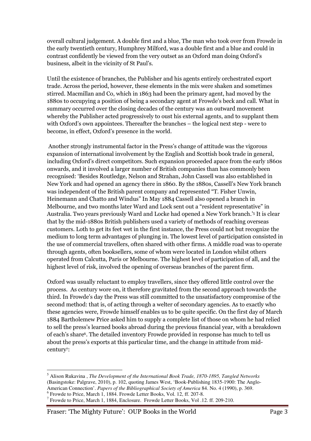overall cultural judgement. A double first and a blue, The man who took over from Frowde in the early twentieth century, Humphrey Milford, was a double first and a blue and could in contrast confidently be viewed from the very outset as an Oxford man doing Oxford's business, albeit in the vicinity of St Paul's.

Until the existence of branches, the Publisher and his agents entirely orchestrated export trade. Across the period, however, these elements in the mix were shaken and sometimes stirred. Macmillan and Co, which in 1863 had been the primary agent, had moved by the 1880s to occupying a position of being a secondary agent at Frowde's beck and call. What in summary occurred over the closing decades of the century was an outward movement whereby the Publisher acted progressively to oust his external agents, and to supplant them with Oxford's own appointees. Thereafter the branches – the logical next step - were to become, in effect, Oxford's presence in the world.

 Another strongly instrumental factor in the Press's change of attitude was the vigorous expansion of international involvement by the English and Scottish book trade in general, including Oxford's direct competitors. Such expansion proceeded apace from the early 1860s onwards, and it involved a larger number of British companies than has commonly been recognised: 'Besides Routledge, Nelson and Strahan, John Cassell was also established in New York and had opened an agency there in 1860. By the 1880s, Cassell's New York branch was independent of the British parent company and represented "T. Fisher Unwin, Heinemann and Chatto and Windus" In May 1884 Cassell also opened a branch in Melbourne, and two months later Ward and Lock sent out a "resident representative" in Australia. Two years previously Ward and Locke had opened a New York branch.'<sup>5</sup> It is clear that by the mid-1880s British publishers used a variety of methods of reaching overseas customers. Loth to get its feet wet in the first instance, the Press could not but recognize the medium to long term advantages of plunging in. The lowest level of participation consisted in the use of commercial travellers, often shared with other firms. A middle road was to operate through agents, often booksellers, some of whom were located in London whilst others operated from Calcutta, Paris or Melbourne. The highest level of participation of all, and the highest level of risk, involved the opening of overseas branches of the parent firm.

Oxford was usually reluctant to employ travellers, since they offered little control over the process. As century wore on, it therefore gravitated from the second approach towards the third. In Frowde's day the Press was still committed to the unsatisfactory compromise of the second method: that is, of acting through a welter of secondary agencies. As to exactly who these agencies were, Frowde himself enables us to be quite specific. On the first day of March 1884 Bartholemew Price asked him to supply a complete list of those on whom he had relied to sell the press's learned books abroad during the previous financial year, with a breakdown of each's share<sup>6</sup> . The detailed inventory Frowde provided in response has much to tell us about the press's exports at this particular time, and the change in attitude from midcentury<sup>7</sup> :

<sup>5</sup> Alison Rukavina , *The Development of the International Book Trade, 1870-1895, Tangled Networks*  (Basingstoke: Palgrave, 2010), p. 102, quoting James West, 'Book-Publishing 1835-1900: The Anglo-American Connection'. *Papers of the Bibliographical Society of America* 84. No. 4 (1990), p. 369.

<sup>&</sup>lt;sup>6</sup> Frowde to Price, March 1, 1884. Frowde Letter Books, Vol. 12, ff. 207-8.

<sup>&</sup>lt;sup>7</sup> Frowde to Price, March 1, 1884, Enclosure. Frowde Letter Books, Vol. 12. ff. 209-210.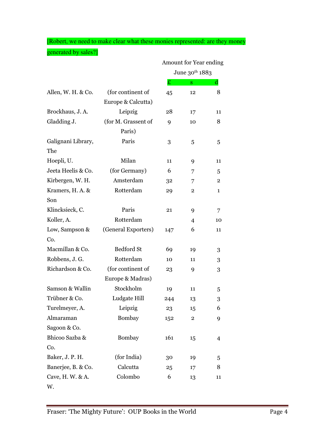[Robert, we need to make clear what these monies represented: are they money generated by sales?]

|                    |                     | Amount for Year ending<br>June 30th 1883 |                         |              |
|--------------------|---------------------|------------------------------------------|-------------------------|--------------|
|                    |                     |                                          |                         |              |
|                    |                     | £                                        | $\overline{\mathbf{S}}$ | $\mathbf d$  |
| Allen, W. H. & Co. | (for continent of   | 45                                       | 12                      | 8            |
|                    | Europe & Calcutta)  |                                          |                         |              |
| Brockhaus, J.A.    | Leipzig             | 28                                       | 17                      | 11           |
| Gladding J.        | (for M. Grassent of | 9                                        | 10                      | 8            |
|                    | Paris)              |                                          |                         |              |
| Galignani Library, | Paris               | 3                                        | 5                       | 5            |
| The                |                     |                                          |                         |              |
| Hoepli, U.         | Milan               | 11                                       | 9                       | 11           |
| Jeeta Heelis & Co. | (for Germany)       | 6                                        | 7                       | 5            |
| Kirbergen, W. H.   | Amsterdam           | 32                                       | 7                       | $\mathbf{2}$ |
| Kramers, H.A. &    | Rotterdam           | 29                                       | $\overline{2}$          | 1            |
| Son                |                     |                                          |                         |              |
| Klincksieck, C.    | Paris               | 21                                       | 9                       | 7            |
| Koller, A.         | Rotterdam           |                                          | 4                       | 10           |
| Low, Sampson &     | (General Exporters) | 147                                      | 6                       | 11           |
| Co.                |                     |                                          |                         |              |
| Macmillan & Co.    | <b>Bedford St</b>   | 69                                       | 19                      | 3            |
| Robbens, J. G.     | Rotterdam           | 10                                       | 11                      | 3            |
| Richardson & Co.   | (for continent of   | 23                                       | 9                       | 3            |
|                    | Europe & Madras)    |                                          |                         |              |
| Samson & Wallin    | Stockholm           | 19                                       | 11                      | 5            |
| Trübner & Co.      | Ludgate Hill        | 244                                      | 13                      | 3            |
| Turelmeyer, A.     | Leipzig             | 23                                       | 15                      | 6            |
| Almaraman          | Bombay              | 152                                      | $\overline{\mathbf{2}}$ | 9            |
| Sagoon & Co.       |                     |                                          |                         |              |
| Bhicoo Sazba &     | <b>Bombay</b>       | 161                                      | 15                      | 4            |
| Co.                |                     |                                          |                         |              |
| Baker, J. P. H.    | (for India)         | 30                                       | 19                      | 5            |
| Banerjee, B. & Co. | Calcutta            | 25                                       | 17                      | 8            |
| Cave, H. W. & A.   | Colombo             | 6                                        | 13                      | 11           |
| W.                 |                     |                                          |                         |              |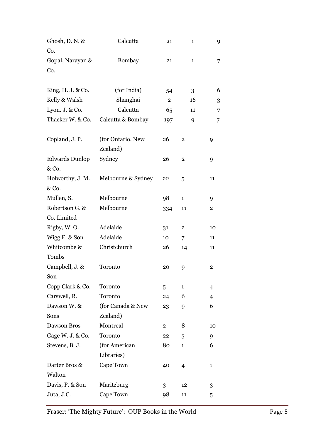| Ghosh, D. N. &<br>Co.          | Calcutta                      | 21             | 1                       | 9                       |
|--------------------------------|-------------------------------|----------------|-------------------------|-------------------------|
| Gopal, Narayan &<br>Co.        | Bombay                        | 21             | $\mathbf{1}$            | 7                       |
| King, $H. J. \&$ Co.           | (for India)                   | 54             | 3                       | 6                       |
| Kelly & Walsh                  | Shanghai                      | $\overline{2}$ | 16                      | 3                       |
| Lyon. J. & Co.                 | Calcutta                      | 65             | 11                      | 7                       |
| Thacker W. & Co.               | Calcutta & Bombay             | 197            | 9                       | 7                       |
| Copland, J. P.                 | (for Ontario, New<br>Zealand) | 26             | $\overline{2}$          | 9                       |
| <b>Edwards Dunlop</b><br>& Co. | Sydney                        | 26             | $\overline{2}$          | 9                       |
| Holworthy, J. M.<br>& Co.      | Melbourne & Sydney            | 22             | 5                       | 11                      |
| Mullen, S.                     | Melbourne                     | 98             | $\mathbf{1}$            | 9                       |
| Robertson G. &<br>Co. Limited  | Melbourne                     | 334            | 11                      | $\overline{\mathbf{2}}$ |
| Rigby, W.O.                    | Adelaide                      | 31             | $\overline{\mathbf{2}}$ | 10                      |
| Wigg E. & Son                  | Adelaide                      | 10             | 7                       | 11                      |
| Whitcombe &                    | Christchurch                  | 26             | 14                      | 11                      |
| Tombs                          |                               |                |                         |                         |
| Campbell, J. &<br>Son          | Toronto                       | 20             | 9                       | $\overline{\mathbf{c}}$ |
| Copp Clark & Co.               | Toronto                       | 5              | $\mathbf{1}$            | $\overline{4}$          |
| Carswell, R.                   | Toronto                       | 24             | 6                       | $\overline{4}$          |
| Dawson W. &                    | (for Canada & New             | 23             | 9                       | 6                       |
| Sons                           | Zealand)                      |                |                         |                         |
| Dawson Bros                    | Montreal                      | $\overline{2}$ | 8                       | 10                      |
| Gage W. J. & Co.               | Toronto                       | 22             | 5                       | 9                       |
| Stevens, B. J.                 | (for American<br>Libraries)   | 80             | $\mathbf{1}$            | 6                       |
| Darter Bros &<br>Walton        | Cape Town                     | 40             | 4                       | $\mathbf{1}$            |
|                                |                               |                |                         |                         |
| Davis, P. & Son<br>Juta, J.C.  | Maritzburg<br>Cape Town       | 3              | 12                      | 3                       |
|                                |                               | 98             | 11                      | 5                       |

Fraser: 'The Mighty Future': OUP Books in the World Page 5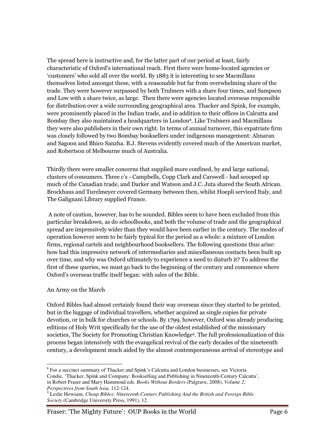The spread here is instructive and, for the latter part of our period at least, fairly characteristic of Oxford's international reach. First there were home-located agencies or 'customers' who sold all over the world. By 1883 it is interesting to see Macmillans themselves listed amongst these, with a reasonable but far from overwhelming share of the trade. They were however surpassed by both Trubners with a share four times, and Sampson and Low with a share twice, as large. Then there were agencies located overseas responsible for distribution over a wide surrounding geographical area. Thacker and Spink, for example, were prominently placed in the Indian trade, and in addition to their offices in Calcutta and Bombay they also maintained a headquarters in London8. Like Trubners and Macmillans they were also publishers in their own right. In terms of annual turnover, this expatriate firm was closely followed by two Bombay booksellers under indigenous management: Almaran and Sagoon and Bhico Sanzha. B.J. Stevens evidently covered much of the American market, and Robertson of Melbourne much of Australia.

Thirdly there were smaller concerns that supplied more confined, by and large national, clusters of consumers. Three c's - Campbells, Copp Clark and Carswell - had scooped up much of the Canadian trade, and Darker and Watson and J.C. Juta shared the South African. Brockhaus and Turelmeyer covered Germany between then, whilst Hoepli serviced Italy, and The Galignani Library supplied France.

 A note of caution, however, has to be sounded. Bibles seem to have been excluded from this particular breakdown, as do schoolbooks, and both the volume of trade and the geographical spread are impressively wider than they would have been earlier in the century. The modes of operation however seem to be fairly typical for the period as a whole: a mixture of London firms, regional cartels and neighbourhood booksellers. The following questions thus arise: how had this impressive network of intermediaries and miscellaneous contacts been built up over time, and why was Oxford ultimately to experience a need to disturb it? To address the first of these queries, we must go back to the beginning of the century and commence where Oxford's overseas traffic itself began: with sales of the Bible.

# An Army on the March

Oxford Bibles had almost certainly found their way overseas since they started to be printed, but in the luggage of individual travellers, whether acquired as single copies for private devotion, or in bulk for churches or schools. By 1799, however, Oxford was already producing editions of Holy Writ specifically for the use of the oldest established of the missionary societies, The Society for Promoting Christian Knowledge<sup>9</sup> . The full professionalization of this process began intensively with the evangelical revival of the early decades of the nineteenth century, a development much aided by the almost contemporaneous arrival of stereotype and

 $\overline{a}$ <sup>8</sup> For a succinct summary of Thacker and Spink's Calcutta and London businesses, see Victoria Condie, 'Thacker, Spink and Company: Bookselling and Publishing in Nineteenth-Century Calcutta', in Robert Fraser and Mary Hammond eds. *Books Without Borders* (Palgrave, 2008), *Volume 2; Perspectives from South Asia,* 112-124.

<sup>9</sup> Leslie Howsam, *Cheap Bibles: Nineteenth Century Publishing And the British and Foreign Bible Society* (Cambridge University Press, 1991), 12.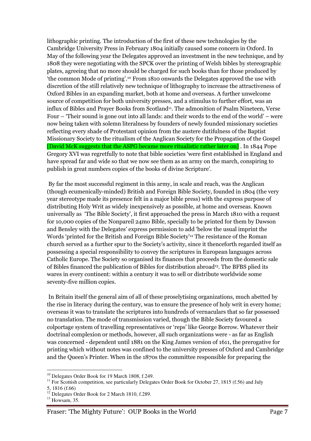lithographic printing. The introduction of the first of these new technologies by the Cambridge University Press in February 1804 initially caused some concern in Oxford. In May of the following year the Delegates approved an investment in the new technique, and by 1808 they were negotiating with the SPCK over the printing of Welsh bibles by stereographic plates, agreeing that no more should be charged for such books than for those produced by 'the common Mode of printing'.10 From 1810 onwards the Delegates approved the use with discretion of the still relatively new technique of lithography to increase the attractiveness of Oxford Bibles in an expanding market, both at home and overseas. A further unwelcome source of competition for both university presses, and a stimulus to further effort, was an influx of Bibles and Prayer Books from Scotland<sup>11</sup>. The admonition of Psalm Nineteen, Verse Four – 'Their sound is gone out into all lands: and their words to the end of the world' – were now being taken with solemn literalness by founders of newly founded missionary societies reflecting every shade of Protestant opinion from the austere dutifulness of the Baptist Missionary Society to the ritualism of the Anglican Society for the Propagation of the Gospel [David McK suggests that the ASPG became more ritualistic rather later on] . In 1844 Pope Gregory XVI was regretfully to note that bible societies 'were first established in England and have spread far and wide so that we now see them as an army on the march, conspiring to publish in great numbers copies of the books of divine Scripture'.

 By far the most successful regiment in this army, in scale and reach, was the Anglican (though ecumenically-minded) British and Foreign Bible Society, founded in 1804 (the very year stereotype made its presence felt in a major bible press) with the express purpose of distributing Holy Writ as widely inexpensively as possible, at home and overseas. Known universally as 'The Bible Society', it first approached the press in March 1810 with a request for 10,000 copies of the Nonpareil 24mo Bible, specially to be printed for them by Dawson and Bensley with the Delegates' express permission to add 'below the usual imprint the Words 'printed for the British and Foreign Bible Society'12 The resistance of the Roman church served as a further spur to the Society's activity, since it thenceforth regarded itself as possessing a special responsibility to convey the scriptures in European languages across Catholic Europe. The Society so organised its finances that proceeds from the domestic sale of Bibles financed the publication of Bibles for distribution abroad13. The BFBS plied its wares in every continent: within a century it was to sell or distribute worldwide some seventy-five million copies.

 In Britain itself the general aim of all of these proselytising organizations, much abetted by the rise in literacy during the century, was to ensure the presence of holy writ in every home; overseas it was to translate the scriptures into hundreds of vernaculars that so far possessed no translation. The mode of transmission varied, though the Bible Society favoured a colportage system of travelling representatives or 'reps' like George Borrow. Whatever their doctrinal complexion or methods, however, all such organizations were - as far as English was concerned - dependent until 1881 on the King James version of 1611, the prerogative for printing which without notes was confined to the university presses of Oxford and Cambridge and the Queen's Printer. When in the 1870s the committee responsible for preparing the

 $\overline{a}$ <sup>10</sup> Delegates Order Book for 19 March 1808, f.249.

<sup>&</sup>lt;sup>11</sup> For Scottish competition, see particularly Delegates Order Book for October 27, 1815 (f.56) and July 5, 1816 (f.66)

<sup>&</sup>lt;sup>12</sup> Delegates Order Book for 2 March 1810, f.289.

 $^{13}$  Howsam, 35.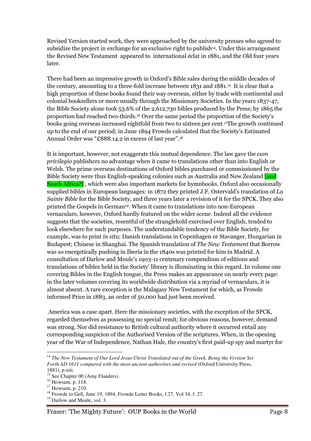Revised Version started work, they were approached by the university presses who agreed to subsidize the project in exchange for an exclusive right to publish<sup>14</sup>. Under this arrangement the Revised New Testament appeared to international éclat in 1881, and the Old four years later.

There had been an impressive growth in Oxford's Bible sales during the middle decades of the century, amounting to a three-fold increase between 1831 and 1881.15 It is clear that a high proportion of these books found their way overseas, either by trade with continental and colonial booksellers or more usually through the Missionary Societies. In the years 1837-47, the Bible Society alone took 53.6% of the 2,612,730 bibles produced by the Press; by 1865 the proportion had reached two-thirds.16 Over the same period the proportion of the Society's books going overseas increased eightfold from two to sixteen per cent 17The growth continued up to the end of our period; in June 1894 Frowde calculated that the Society's Estimated Annual Order was "£888.14.2 in excess of last year". 18

It is important, however, not exaggerate this mutual dependence. The law gave the cum privilegio publishers no advantage when it came to translations other than into English or Welsh. The prime overseas destinations of Oxford bibles purchased or commissioned by the Bible Society were thus English-speaking colonies such as Australia and New Zealand [and South Africa?] , which were also important markets for hymnbooks. Oxford also occasionally supplied bibles in European languages: in 1872 they printed J.F. Ostervald's translation of La Sainte Bible for the Bible Society, and three years later a revision of it for the SPCK. They also printed the Gospels in German19. When it came to translations into non-European vernaculars, however, Oxford hardly featured on the wider scene. Indeed all the evidence suggests that the societies, resentful of the stranglehold exercised over English, tended to look elsewhere for such purposes. The understandable tendency of the Bible Society, for example, was to print *in situ*; Danish translations in Copenhagen or Stavanger, Hungarian in Budapest; Chinese in Shanghai. The Spanish translation of The New Testament that Borrow was so energetically pushing in Iberia in the 1840s was printed for him in Madrid. A consultation of Darlow and Moule's 1903-11 centenary compendium of editions and translations of bibles held in the Society' library is illuminating in this regard. In volume one covering Bibles in the English tongue, the Press makes an appearance on nearly every page: in the later volumes covering its worldwide distribution via a myriad of vernaculars, it is almost absent. A rare exception is the Malagasy New Testament for which, as Frowde informed Price in 1883, an order of 50,000 had just been received.

 America was a case apart. Here the missionary societies, with the exception of the SPCK, regarded themselves as possessing no special remit; for obvious reasons, however, demand was strong. Nor did resistance to British cultural authority where it occurred entail any corresponding suspicion of the Authorised Version of the scriptures. When, in the opening year of the War of Independence, Nathan Hale, the country's first paid-up spy and martyr for

 $\overline{a}$ <sup>14</sup> The New Testament of Our Lord Jesus Christ Translated out of the Greek. Being the Version Set *Forth AD 1611 compared with the most ancient authorities and revised* (Oxford University Press, 1881), p.xiii.

<sup>&</sup>lt;sup>15</sup> See Chapter 00 (Amy Flanders).

<sup>16</sup> Howsam, p. 118.

<sup>17</sup> Howsam, p. 210.

<sup>&</sup>lt;sup>18</sup> Frowde to Gell, June 19, 1894, Frowde Letter Books, f.27, Vol 34, f. 27.

 $19$  Darlow and Moule, vol. 3.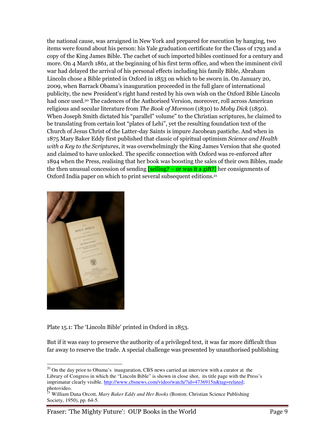the national cause, was arraigned in New York and prepared for execution by hanging, two items were found about his person: his Yale graduation certificate for the Class of 1793 and a copy of the King James Bible. The cachet of such imported bibles continued for a century and more. On 4 March 1861, at the beginning of his first term office, and when the imminent civil war had delayed the arrival of his personal effects including his family Bible, Abraham Lincoln chose a Bible printed in Oxford in 1853 on which to be sworn in. On January 20, 2009, when Barrack Obama's inauguration proceeded in the full glare of international publicity, the new President's right hand rested by his own wish on the Oxford Bible Lincoln had once used.<sup>20</sup> The cadences of the Authorised Version, moreover, roll across American religious and secular literature from The Book of Mormon (1830) to Moby Dick (1850). When Joseph Smith dictated his "parallel" volume" to the Christian scriptures, he claimed to be translating from certain lost "plates of Lehi", yet the resulting foundation text of the Church of Jesus Christ of the Latter-day Saints is impure Jacobean pastiche. And when in 1875 Mary Baker Eddy first published that classic of spiritual optimism Science and Health with a Key to the Scriptures, it was overwhelmingly the King James Version that she quoted and claimed to have unlocked. The specific connection with Oxford was re-enforced after 1894 when the Press, realising that her book was boosting the sales of their own Bibles, made the then unusual concession of sending  $\sqrt{\text{selling?}}$  – or was it a gift? her consignments of Oxford India paper on which to print several subsequent editions.<sup>21</sup>



 $\overline{a}$ 

Plate 15.1: The 'Lincoln Bible' printed in Oxford in 1853.

But if it was easy to preserve the authority of a privileged text, it was far more difficult thus far away to reserve the trade. A special challenge was presented by unauthorised publishing

 $20$  On the day prior to Obama's inauguration, CBS news carried an interview with a curator at the Library of Congress in which the "Lincoln Bible" is shown in close shot, its title page with the Press's imprimatur clearly visible. http://www.cbsnews.com/video/watch/?id=4736915n&tag=related; photovideo.

<sup>21</sup> William Dana Orcott, *Mary Baker Eddy and Her Books* (Boston; Christian Science Publishing Society, 1950), pp. 64-5.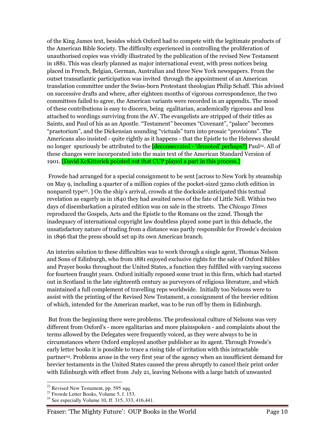of the King James text, besides which Oxford had to compete with the legitimate products of the American Bible Society. The difficulty experienced in controlling the proliferation of unauthorised copies was vividly illustrated by the publication of the revised New Testament in 1881. This was clearly planned as major international event, with press notices being placed in French, Belgian, German, Australian and three New York newspapers. From the outset transatlantic participation was invited through the appointment of an American translation committee under the Swiss-born Protestant theologian Philip Schaff. This advised on successive drafts and where, after eighteen months of vigorous correspondence, the two committees failed to agree, the American variants were recorded in an appendix. The mood of these contributions is easy to discern, being egalitarian, academically rigorous and less attached to wordings surviving from the AV. The evangelists are stripped of their titles as Saints, and Paul of his as an Apostle. "Testament" becomes "Covenant", "palace" becomes "praetorium", and the Dickensian sounding "victuals" turn into prosaic "provisions". The Americans also insisted - quite rightly as it happens - that the Epistle to the Hebrews should no longer spuriously be attributed to the **[deconsecrated - 'demoted' perhaps?]** Paul<sup>22</sup>. All of these changes were incorporated into the main text of the American Standard Version of 1901. [David KcKitterick pointed out that CUP played a part in this process.]

 Frowde had arranged for a special consignment to be sent [across to New York by steamship on May 9, including a quarter of a million copies of the pocket-sized 32mo cloth edition in nonpareil type<sup>23</sup>. ] On the ship's arrival, crowds at the dockside anticipated this textual revelation as eagerly as in 1840 they had awaited news of the fate of Little Nell. Within two days of disembarkation a pirated edition was on sale in the streets. The Chicago Times reproduced the Gospels, Acts and the Epistle to the Romans on the 22nd. Though the inadequacy of international copyright law doubtless played some part in this debacle, the unsatisfactory nature of trading from a distance was partly responsible for Frowde's decision in 1896 that the press should set up its own American branch.

An interim solution to these difficulties was to work through a single agent, Thomas Nelson and Sons of Edinburgh, who from 1881 enjoyed exclusive rights for the sale of Oxford Bibles and Prayer books throughout the United States, a function they fulfilled with varying success for fourteen fraught years. Oxford initially reposed some trust in this firm, which had started out in Scotland in the late eighteenth century as purveyors of religious literature, and which maintained a full complement of travelling reps worldwide. Initially too Nelsons were to assist with the printing of the Revised New Testament, a consignment of the brevier edition of which, intended for the American market, was to be run off by them in Edinburgh.

 But from the beginning there were problems. The professional culture of Nelsons was very different from Oxford's - more egalitarian and more plainspoken - and complaints about the terms allowed by the Delegates were frequently voiced, as they were always to be in circumstances where Oxford employed another publisher as its agent. Through Frowde's early letter books it is possible to trace a rising tide of irritation with this intractable partner24. Problems arose in the very first year of the agency when an insufficient demand for brevier testaments in the United States caused the press abruptly to cancel their print order with Edinburgh with effect from July 21, leaving Nelsons with a large batch of unwanted

 $22$  Revised New Testament, pp. 595 sqq.

 $^{23}$  Frowde Letter Books, Volume 5, f. 153.

<sup>&</sup>lt;sup>24</sup> See especially Volume 10, ff. 315, 333, 416,441.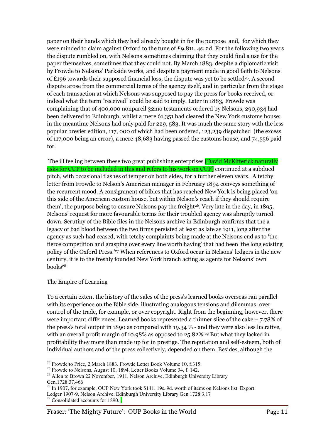paper on their hands which they had already bought in for the purpose and, for which they were minded to claim against Oxford to the tune of £9,811. 4s. 2d. For the following two years the dispute rumbled on, with Nelsons sometimes claiming that they could find a use for the paper themselves, sometimes that they could not. By March 1883, despite a diplomatic visit by Frowde to Nelsons' Parkside works, and despite a payment made in good faith to Nelsons of £196 towards their supposed financial loss, the dispute was yet to be settled<sup>25</sup>. A second dispute arose from the commercial terms of the agency itself, and in particular from the stage of each transaction at which Nelsons was supposed to pay the press for books received, or indeed what the term "received" could be said to imply. Later in 1883, Frowde was complaining that of 400,000 nonpareil 32mo testaments ordered by Nelsons, 290,934 had been delivered to Edinburgh, whilst a mere 61,351 had cleared the New York customs house; in the meantime Nelsons had only paid for 229, 583. It was much the same story with the less popular brevier edition, 117, 000 of which had been ordered, 123,239 dispatched (the excess of 117,000 being an error), a mere 48,683 having passed the customs house, and 74,556 paid for.

The ill feeling between these two great publishing enterprises **David McKitterick naturally** asks for CUP to be included in this and refers to his work on CUP] continued at a subdued pitch, with occasional flashes of temper on both sides, for a further eleven years. A tetchy letter from Frowde to Nelson's American manager in February 1894 conveys something of the recurrent mood. A consignment of bibles that has reached New York is being placed 'on this side of the American custom house, but within Nelson's reach if they should require them', the purpose being to ensure Nelsons pay the freight<sup>26</sup>. Very late in the day, in 1895, Nelsons' request for more favourable terms for their troubled agency was abruptly turned down. Scrutiny of the Bible files in the Nelsons archive in Edinburgh confirms that the a legacy of bad blood between the two firms persisted at least as late as 1911, long after the agency as such had ceased, with tetchy complaints being made at the Nelsons end as to 'the fierce competition and grasping over every line worth having' that had been 'the long existing policy of the Oxford Press.'27 When references to Oxford occur in Nelsons' ledgers in the new century, it is to the freshly founded New York branch acting as agents for Nelsons' own books<sup>28</sup>

# The Empire of Learning

To a certain extent the history of the sales of the press's learned books overseas ran parallel with its experience on the Bible side, illustrating analogous tensions and dilemmas: over control of the trade, for example, or over copyright. Right from the beginning, however, there were important differences. Learned books represented a thinner slice of the cake – 7.78% of the press's total output in 1890 as compared with 19.34 % - and they were also less lucrative, with an overall profit margin of 10.98% as opposed to 25.82%.<sup>29</sup> But what they lacked in profitability they more than made up for in prestige. The reputation and self-esteem, both of individual authors and of the press collectively, depended on them. Besides, although the

 $\overline{a}$  $25$  Frowde to Price, 2 March 1883. Frowde Letter Book Volume 10, f.315.

<sup>26</sup> Frowde to Nelsons, August 10, 1894, Letter Books Volume 34, f. 142.

<sup>&</sup>lt;sup>27</sup> Allen to Brown 22 November, 1911, Nelson Archive, Edinburgh University Library Gen.1728.37.466

<sup>&</sup>lt;sup>28</sup> In 1907, for example, OUP New York took \$141. 19s. 9d. worth of items on Nelsons list. Export Ledger 1907-9, Nelson Archive, Edinburgh University Library Gen.1728.3.17

 $\frac{29}{29}$  Consolidated accounts for 1890.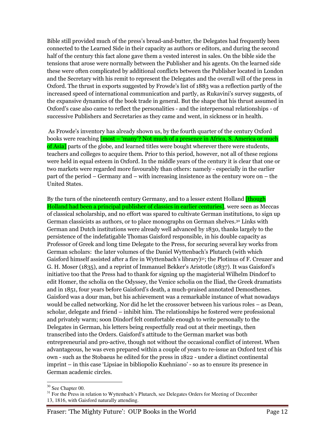Bible still provided much of the press's bread-and-butter, the Delegates had frequently been connected to the Learned Side in their capacity as authors or editors, and during the second half of the century this fact alone gave them a vested interest in sales. On the bible side the tensions that arose were normally between the Publisher and his agents. On the learned side these were often complicated by additional conflicts between the Publisher located in London and the Secretary with his remit to represent the Delegates and the overall will of the press in Oxford. The thrust in exports suggested by Frowde's list of 1883 was a reflection partly of the increased speed of international communication and partly, as Rukavini's survey suggests, of the expansive dynamics of the book trade in general. But the shape that his thrust assumed in Oxford's case also came to reflect the personalities - and the interpersonal relationships - of successive Publishers and Secretaries as they came and went, in sickness or in health.

 As Frowde's inventory has already shown us, by the fourth quarter of the century Oxford books were reaching **[most – 'many'?** Not much of a presence in Africa, S. America or much of Asia] parts of the globe, and learned titles were bought wherever there were students, teachers and colleges to acquire them. Prior to this period, however, not all of these regions were held in equal esteem in Oxford. In the middle years of the century it is clear that one or two markets were regarded more favourably than others: namely - especially in the earlier part of the period – Germany and – with increasing insistence as the century wore on – the United States.

By the turn of the nineteenth century Germany, and to a lesser extent Holland *[though*] Holland had been a principal publisher of classics in earlier centuries], were seen as Meccas of classical scholarship, and no effort was spared to cultivate German institutions, to sign up German classicists as authors, or to place monographs on German shelves.30 Links with German and Dutch institutions were already well advanced by 1830, thanks largely to the persistence of the indefatigable Thomas Gaisford responsible, in his double capacity as Professor of Greek and long time Delegate to the Press, for securing several key works from German scholars: the later volumes of the Daniel Wyttenbach's Plutarch (with which Gaisford himself assisted after a fire in Wyttenbach's library)31; the Plotinus of F. Creuzer and G. H. Moser (1835), and a reprint of Immanuel Bekker's Aristotle (1837). It was Gaisford's initiative too that the Press had to thank for signing up the magisterial Wilhelm Dindorf to edit Homer, the scholia on the Odyssey, the Venice scholia on the Iliad, the Greek dramatists and in 1851, four years before Gaisford's death, a much-praised annotated Demosthenes. Gaisford was a dour man, but his achievement was a remarkable instance of what nowadays would be called networking. Nor did he let the crossover between his various roles – as Dean, scholar, delegate and friend – inhibit him. The relationships he fostered were professional and privately warm; soon Dindorf felt comfortable enough to write personally to the Delegates in German, his letters being respectfully read out at their meetings, then transcribed into the Orders. Gaisford's attitude to the German market was both entrepreneurial and pro-active, though not without the occasional conflict of interest. When advantageous, he was even prepared within a couple of years to re-issue an Oxford text of his own - such as the Stobaeus he edited for the press in 1822 - under a distinct continental imprint – in this case 'Lipsiae in bibliopolio Kuehniano' - so as to ensure its presence in German academic circles.

<sup>&</sup>lt;sup>30</sup> See Chapter 00.

 $31$  For the Press in relation to Wyttenbach's Plutarch, see Delegates Orders for Meeting of December 13, 1816, with Gaisford naturally attending.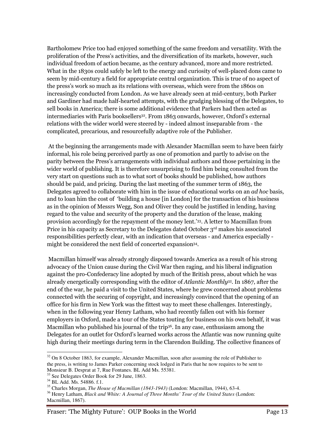Bartholomew Price too had enjoyed something of the same freedom and versatility. With the proliferation of the Press's activities, and the diversification of its markets, however, such individual freedom of action became, as the century advanced, more and more restricted. What in the 1830s could safely be left to the energy and curiosity of well-placed dons came to seem by mid-century a field for appropriate central organization. This is true of no aspect of the press's work so much as its relations with overseas, which were from the 1860s on increasingly conducted from London. As we have already seen at mid-century, both Parker and Gardiner had made half-hearted attempts, with the grudging blessing of the Delegates, to sell books in America; there is some additional evidence that Parkers had then acted as intermediaries with Paris booksellers<sup>32</sup>. From 1863 onwards, however, Oxford's external relations with the wider world were steered by - indeed almost inseparable from - the complicated, precarious, and resourcefully adaptive role of the Publisher.

 At the beginning the arrangements made with Alexander Macmillan seem to have been fairly informal, his role being perceived partly as one of promotion and partly to advise on the parity between the Press's arrangements with individual authors and those pertaining in the wider world of publishing. It is therefore unsurprising to find him being consulted from the very start on questions such as to what sort of books should be published, how authors should be paid, and pricing. During the last meeting of the summer term of 1863, the Delegates agreed to collaborate with him in the issue of educational works on an *ad hoc* basis, and to loan him the cost of 'building a house [in London] for the transaction of his business as in the opinion of Messrs Wegg, Son and Oliver they could be justified in lending, having regard to the value and security of the property and the duration of the lease, making provision accordingly for the repayment of the money lent.'33. A letter to Macmillan from Price in his capacity as Secretary to the Delegates dated October 3rd makes his associated responsibilities perfectly clear, with an indication that overseas - and America especially might be considered the next field of concerted expansion<sup>34</sup>.

 Macmillan himself was already strongly disposed towards America as a result of his strong advocacy of the Union cause during the Civil War then raging, and his liberal indignation against the pro-Confederacy line adopted by much of the British press, about which he was already energetically corresponding with the editor of Atlantic Monthly<sup>35</sup>. In 1867, after the end of the war, he paid a visit to the United States, where he grew concerned about problems connected with the securing of copyright, and increasingly convinced that the opening of an office for his firm in New York was the fittest way to meet these challenges. Interestingly, when in the following year Henry Latham, who had recently fallen out with his former employers in Oxford, made a tour of the States touting for business on his own behalf, it was Macmillan who published his journal of the trip<sup>36</sup>. In any case, enthusiasm among the Delegates for an outlet for Oxford's learned works across the Atlantic was now running quite high during their meetings during term in the Clarendon Building. The collective finances of

 $\overline{a}$  $32$  On 8 October 1863, for example, Alexander Macmillan, soon after assuming the role of Publisher to the press, is writing to James Parker concerning stock lodged in Paris that he now requires to be sent to Monsieur B. Desprat at 7, Rue Fontanes. BL Add Ms. 55381.

<sup>&</sup>lt;sup>33</sup> See Delegates Order Book for 29 June, 1863.

<sup>&</sup>lt;sup>34</sup> BL Add. Ms. 54886. f.1.

<sup>35</sup> Charles Morgan, *The House of Macmillan (1843-1943)* (London: Macmillan, 1944), 63-4.

<sup>&</sup>lt;sup>36</sup> Henry Latham, *Black and White: A Journal of Three Months' Tour of the United States (London:* Macmillan, 1867).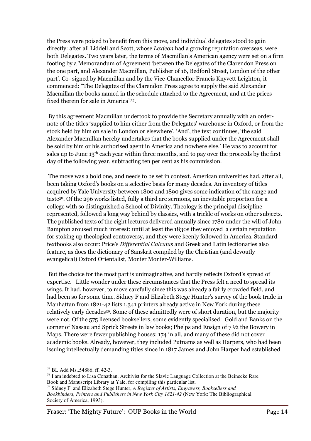the Press were poised to benefit from this move, and individual delegates stood to gain directly: after all Liddell and Scott, whose Lexicon had a growing reputation overseas, were both Delegates. Two years later, the terms of Macmillan's American agency were set on a firm footing by a Memorandum of Agreement 'between the Delegates of the Clarendon Press on the one part, and Alexander Macmillan, Publisher of 16, Bedford Street, London of the other part'. Co- signed by Macmillan and by the Vice-Chancellor Francis Knyvett Leighton, it commenced: "The Delegates of the Clarendon Press agree to supply the said Alexander Macmillan the books named in the schedule attached to the Agreement, and at the prices fixed therein for sale in America"<sup>37</sup> .

 By this agreement Macmillan undertook to provide the Secretary annually with an ordernote of the titles 'supplied to him either from the Delegates' warehouse in Oxford, or from the stock held by him on sale in London or elsewhere'. 'And', the text continues, 'the said Alexander Macmillan hereby undertakes that the books supplied under the Agreement shall be sold by him or his authorised agent in America and nowhere else.' He was to account for sales up to June 13th each year within three months, and to pay over the proceeds by the first day of the following year, subtracting ten per cent as his commission.

 The move was a bold one, and needs to be set in context. American universities had, after all, been taking Oxford's books on a selective basis for many decades. An inventory of titles acquired by Yale University between 1800 and 1890 gives some indication of the range and taste38. Of the 296 works listed, fully a third are sermons, an inevitable proportion for a college with so distinguished a School of Divinity. Theology is the principal discipline represented, followed a long way behind by classics, with a trickle of works on other subjects. The published texts of the eight lectures delivered annually since 1780 under the will of John Bampton aroused much interest: until at least the 1830s they enjoyed a certain reputation for stoking up theological controversy, and they were keenly followed in America. Standard textbooks also occur: Price's Differential Calculus and Greek and Latin lectionaries also feature, as does the dictionary of Sanskrit compiled by the Christian (and devoutly evangelical) Oxford Orientalist, Monier Monier-Williams.

 But the choice for the most part is unimaginative, and hardly reflects Oxford's spread of expertise. Little wonder under these circumstances that the Press felt a need to spread its wings. It had, however, to move carefully since this was already a fairly crowded field, and had been so for some time. Sidney F and Elizabeth Stege Hunter's survey of the book trade in Manhattan from 1821-42 lists 1,341 printers already active in New York during these relatively early decades39. Some of these admittedly were of short duration, but the majority were not. Of the 575 licensed booksellers, some evidently specialised: Gold and Banks on the corner of Nassau and Sprick Streets in law books; Phelps and Ensign of 7 ½ the Bowery in Maps. There were fewer publishing houses: 174 in all, and many of these did not cover academic books. Already, however, they included Putnams as well as Harpers, who had been issuing intellectually demanding titles since in 1817 James and John Harper had established

 $\overline{a}$ <sup>37</sup> BL Add Ms..54886, ff. 42-3.

<sup>&</sup>lt;sup>38</sup> I am indebted to Lisa Conathan, Archivist for the Slavic Language Collection at the Beinecke Rare Book and Manuscript Library at Yale, for compiling this particular list.

<sup>39</sup> Sidney F. and Elizabeth Stege Hunter, *A Register of Artists, Engravers, Booksellers and Bookbinders, Printers and Publishers in New York City 1821-42* (New York: The Bibliographical Society of America, 1993).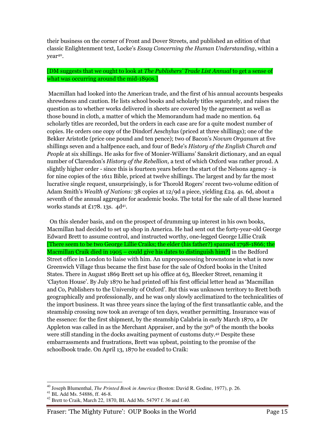their business on the corner of Front and Dover Streets, and published an edition of that classic Enlightenment text, Locke's Essay Concerning the Human Understanding, within a year40.

# [DM suggests that we ought to look at The Publishers' Trade List Annual to get a sense of what was occurring around the mid-1890s.

 Macmillan had looked into the American trade, and the first of his annual accounts bespeaks shrewdness and caution. He lists school books and scholarly titles separately, and raises the question as to whether works delivered in sheets are covered by the agreement as well as those bound in cloth, a matter of which the Memorandum had made no mention. 64 scholarly titles are recorded, but the orders in each case are for a quite modest number of copies. He orders one copy of the Dindorf Aeschylus (priced at three shillings); one of the Bekker Aristotle (price one pound and ten pence); two of Bacon's Novum Organum at five shillings seven and a halfpence each, and four of Bede's History of the English Church and People at six shillings. He asks for five of Monier-Williams' Sanskrit dictionary, and an equal number of Clarendon's History of the Rebellion, a text of which Oxford was rather proud. A slightly higher order - since this is fourteen years before the start of the Nelsons agency - is for nine copies of the 1611 Bible, priced at twelve shillings. The largest and by far the most lucrative single request, unsurprisingly, is for Thorold Rogers' recent two-volume edition of Adam Smith's Wealth of Nations: 38 copies at 12/9d a piece, yielding £24. 4s. 6d, about a seventh of the annual aggregate for academic books. The total for the sale of all these learned works stands at £178. 13s.  $4d^{41}$ .

 On this slender basis, and on the prospect of drumming up interest in his own books, Macmillan had decided to set up shop in America. He had sent out the forty-year-old George Edward Brett to assume control, and instructed worthy, one-legged George Lillie Craik [There seem to be two George Lillie Craiks; the elder (his father?) spanned 1798-1866; the Macmillan Craik died in 1905 – could give his dates to distinguish him? in the Bedford Street office in London to liaise with him. An unprepossessing brownstone in what is now Greenwich Village thus became the first base for the sale of Oxford books in the United States. There in August 1869 Brett set up his office at 63, Bleecker Street, renaming it 'Clayton House'. By July 1870 he had printed off his first official letter head as 'Macmillan and Co, Publishers to the University of Oxford'. But this was unknown territory to Brett both geographically and professionally, and he was only slowly acclimatized to the technicalities of the import business. It was three years since the laying of the first transatlantic cable, and the steamship crossing now took an average of ten days, weather permitting. Insurance was of the essence: for the first shipment, by the steamship Calabria in early March 1870, a Dr Appleton was called in as the Merchant Appraiser, and by the 30<sup>th</sup> of the month the books were still standing in the docks awaiting payment of customs duty.42 Despite these embarrassments and frustrations, Brett was upbeat, pointing to the promise of the schoolbook trade. On April 13, 1870 he exuded to Craik:

<sup>40</sup> Joseph Blumenthal, *The Printed Book in America* (Boston: David R. Godine, 1977), p. 26.

<sup>41</sup> BL Add Ms. 54886, ff. 46-8.

<sup>42</sup> Brett to Craik, March 22, 1870, BL Add Ms. 54797 f. 36 and f.40.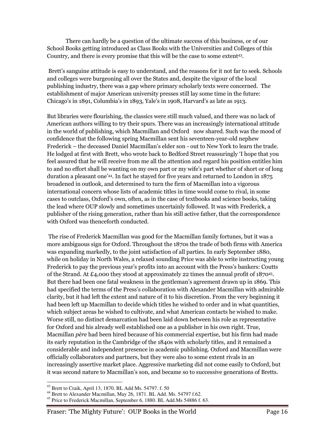There can hardly be a question of the ultimate success of this business, or of our School Books getting introduced as Class Books with the Universities and Colleges of this Country, and there is every promise that this will be the case to some extent<sup>43</sup> .

 Brett's sanguine attitude is easy to understand, and the reasons for it not far to seek. Schools and colleges were burgeoning all over the States and, despite the vigour of the local publishing industry, there was a gap where primary scholarly texts were concerned. The establishment of major American university presses still lay some time in the future: Chicago's in 1891, Columbia's in 1893, Yale's in 1908, Harvard's as late as 1913.

But libraries were flourishing, the classics were still much valued, and there was no lack of American authors willing to try their spurs. There was an increasingly international attitude in the world of publishing, which Macmillan and Oxford now shared. Such was the mood of confidence that the following spring Macmillan sent his seventeen-year-old nephew Frederick – the deceased Daniel Macmillan's elder son - out to New York to learn the trade. He lodged at first with Brett, who wrote back to Bedford Street reassuringly 'I hope that you feel assured that he will receive from me all the attention and regard his position entitles him to and no effort shall be wanting on my own part or my wife's part whether of short or of long duration a pleasant one'44. In fact he stayed for five years and returned to London in 1875 broadened in outlook, and determined to turn the firm of Macmillan into a vigorous international concern whose lists of academic titles in time would come to rival, in some cases to outclass, Oxford's own, often, as in the case of textbooks and science books, taking the lead where OUP slowly and sometimes uncertainly followed. It was with Frederick, a publisher of the rising generation, rather than his still active father, that the correspondence with Oxford was thenceforth conducted.

 The rise of Frederick Macmillan was good for the Macmillan family fortunes, but it was a more ambiguous sign for Oxford. Throughout the 1870s the trade of both firms with America was expanding markedly, to the joint satisfaction of all parties. In early September 1880, while on holiday in North Wales, a relaxed sounding Price was able to write instructing young Frederick to pay the previous year's profits into an account with the Press's bankers: Coutts of the Strand. At £4,000 they stood at approximately 22 times the annual profit of 1870<sup>45</sup> . But there had been one fatal weakness in the gentleman's agreement drawn up in 1869. This had specified the terms of the Press's collaboration with Alexander Macmillan with admirable clarity, but it had left the extent and nature of it to his discretion. From the very beginning it had been left up Macmillan to decide which titles he wished to order and in what quantities, which subject areas he wished to cultivate, and what American contacts he wished to make. Worse still, no distinct demarcation had been laid down between his role as representative for Oxford and his already well established one as a publisher in his own right. True, Macmillan père had been hired because of his commercial expertise, but his firm had made its early reputation in the Cambridge of the 1840s with scholarly titles, and it remained a considerable and independent presence in academic publishing. Oxford and Macmillan were officially collaborators and partners, but they were also to some extent rivals in an increasingly assertive market place. Aggressive marketing did not come easily to Oxford, but it was second nature to Macmillan's son, and became so to successive generations of Bretts.

<sup>43</sup> Brett to Craik, April 13, 1870. BL Add Ms. 54797. f. 50

<sup>44</sup> Brett to Alexander Macmillan, May 26, 1871. BL Add. Ms. 54797 f.62.

<sup>&</sup>lt;sup>45</sup> Price to Frederick Macmillan, September 6, 1880. BL Add.Ms 54886 f. 63.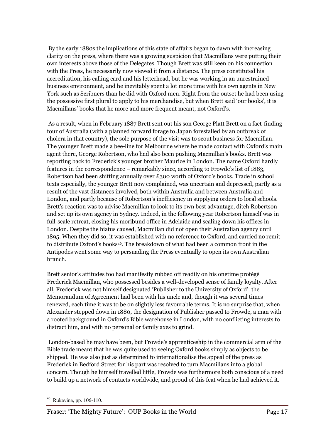By the early 1880s the implications of this state of affairs began to dawn with increasing clarity on the press, where there was a growing suspicion that Macmillans were putting their own interests above those of the Delegates. Though Brett was still keen on his connection with the Press, he necessarily now viewed it from a distance. The press constituted his accreditation, his calling card and his letterhead, but he was working in an unrestrained business environment, and he inevitably spent a lot more time with his own agents in New York such as Scribners than he did with Oxford men. Right from the outset he had been using the possessive first plural to apply to his merchandise, but when Brett said 'our books', it is Macmillans' books that he more and more frequent meant, not Oxford's.

 As a result, when in February 1887 Brett sent out his son George Platt Brett on a fact-finding tour of Australia (with a planned forward forage to Japan forestalled by an outbreak of cholera in that country), the sole purpose of the visit was to scout business for Macmillan. The younger Brett made a bee-line for Melbourne where he made contact with Oxford's main agent there, George Robertson, who had also been pushing Macmillan's books. Brett was reporting back to Frederick's younger brother Maurice in London. The name Oxford hardly features in the correspondence – remarkably since, according to Frowde's list of 1883, Robertson had been shifting annually over £300 worth of Oxford's books. Trade in school texts especially, the younger Brett now complained, was uncertain and depressed, partly as a result of the vast distances involved, both within Australia and between Australia and London, and partly because of Robertson's inefficiency in supplying orders to local schools. Brett's reaction was to advise Macmillan to look to its own best advantage, ditch Robertson and set up its own agency in Sydney. Indeed, in the following year Robertson himself was in full-scale retreat, closing his moribund office in Adelaide and scaling down his offices in London. Despite the hiatus caused, Macmillan did not open their Australian agency until 1895. When they did so, it was established with no reference to Oxford, and carried no remit to distribute Oxford's books46. The breakdown of what had been a common front in the Antipodes went some way to persuading the Press eventually to open its own Australian branch.

Brett senior's attitudes too had manifestly rubbed off readily on his onetime protégé Frederick Macmillan, who possessed besides a well-developed sense of family loyalty. After all, Frederick was not himself designated 'Publisher to the University of Oxford': the Memorandum of Agreement had been with his uncle and, though it was several times renewed, each time it was to be on slightly less favourable terms. It is no surprise that, when Alexander stepped down in 1880, the designation of Publisher passed to Frowde, a man with a rooted background in Oxford's Bible warehouse in London, with no conflicting interests to distract him, and with no personal or family axes to grind.

 London-based he may have been, but Frowde's apprenticeship in the commercial arm of the Bible trade meant that he was quite used to seeing Oxford books simply as objects to be shipped. He was also just as determined to internationalise the appeal of the press as Frederick in Bedford Street for his part was resolved to turn Macmillans into a global concern. Though he himself travelled little, Frowde was furthermore both conscious of a need to build up a network of contacts worldwide, and proud of this feat when he had achieved it.

 $\bf 46$ <sup>46</sup> Rukavina, pp. 106-110.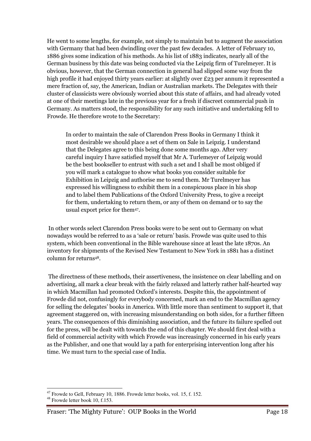He went to some lengths, for example, not simply to maintain but to augment the association with Germany that had been dwindling over the past few decades. A letter of February 10, 1886 gives some indication of his methods. As his list of 1883 indicates, nearly all of the German business by this date was being conducted via the Leipzig firm of Turelmeyer. It is obvious, however, that the German connection in general had slipped some way from the high profile it had enjoyed thirty years earlier: at slightly over £23 per annum it represented a mere fraction of, say, the American, Indian or Australian markets. The Delegates with their cluster of classicists were obviously worried about this state of affairs, and had already voted at one of their meetings late in the previous year for a fresh if discreet commercial push in Germany. As matters stood, the responsibility for any such initiative and undertaking fell to Frowde. He therefore wrote to the Secretary:

 In order to maintain the sale of Clarendon Press Books in Germany I think it most desirable we should place a set of them on Sale in Leipzig. I understand that the Delegates agree to this being done some months ago. After very careful inquiry I have satisfied myself that Mr A. Turlemeyer of Leipzig would be the best bookseller to entrust with such a set and I shall be most obliged if you will mark a catalogue to show what books you consider suitable for Exhibition in Leipzig and authorise me to send them. Mr Turelmeyer has expressed his willingness to exhibit them in a conspicuous place in his shop and to label them Publications of the Oxford University Press, to give a receipt for them, undertaking to return them, or any of them on demand or to say the usual export price for them<sup>47</sup> .

 In other words select Clarendon Press books were to be sent out to Germany on what nowadays would be referred to as a 'sale or return' basis. Frowde was quite used to this system, which been conventional in the Bible warehouse since at least the late 1870s. An inventory for shipments of the Revised New Testament to New York in 1881 has a distinct column for returns48.

 The directness of these methods, their assertiveness, the insistence on clear labelling and on advertising, all mark a clear break with the fairly relaxed and latterly rather half-hearted way in which Macmillan had promoted Oxford's interests. Despite this, the appointment of Frowde did not, confusingly for everybody concerned, mark an end to the Macmillan agency for selling the delegates' books in America. With little more than sentiment to support it, that agreement staggered on, with increasing misunderstanding on both sides, for a further fifteen years. The consequences of this diminishing association, and the future its failure spelled out for the press, will be dealt with towards the end of this chapter. We should first deal with a field of commercial activity with which Frowde was increasingly concerned in his early years as the Publisher, and one that would lay a path for enterprising intervention long after his time. We must turn to the special case of India.

 $\overline{a}$  $47$  Frowde to Gell, February 10, 1886. Frowde letter books, vol. 15, f. 152.

 $48$  Frowde letter book 10, f.153.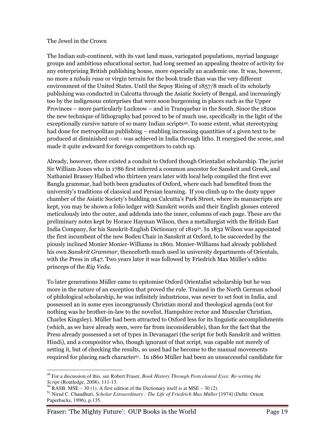#### The Jewel in the Crown

The Indian sub-continent, with its vast land mass, variegated populations, myriad language groups and ambitious educational sector, had long seemed an appealing theatre of activity for any enterprising British publishing house, more especially an academic one. It was, however, no more a tabula rasa or virgin terrain for the book trade than was the very different environment of the United States. Until the Sepoy Rising of 1857/8 much of its scholarly publishing was conducted in Calcutta through the Asiatic Society of Bengal, and increasingly too by the indigenous enterprises that were soon burgeoning in places such as the Upper Provinces – more particularly Lucknow – and in Tranquebar in the South. Since the 1820s the new technique of lithography had proved to be of much use, specifically in the light of the exceptionally cursive nature of so many Indian scripts49. To some extent, what stereotyping had done for metropolitan publishing – enabling increasing quantities of a given text to be produced at diminished cost - was achieved in India through litho. It energised the scene, and made it quite awkward for foreign competitors to catch up.

Already, however, there existed a conduit to Oxford though Orientalist scholarship. The jurist Sir William Jones who in 1786 first inferred a common ancestor for Sanskrit and Greek, and Nathaniel Brassey Halhed who thirteen years later with local help compiled the first ever Bangla grammar, had both been graduates of Oxford, where each had benefited from the university's traditions of classical and Persian learning. If you climb up to the dusty upper chamber of the Asiatic Society's building on Calcutta's Park Street, where its manuscripts are kept, you may be shown a folio ledger with Sanskrit words and their English glosses entered meticulously into the outer, and addenda into the inner, columns of each page. These are the preliminary notes kept by Horace Hayman Wilson, then a metallurgist with the British East India Company, for his Sanskrit-English Dictionary of 1819<sup>50</sup>. In 1832 Wilson was appointed the first incumbent of the new Boden Chair in Sanskrit at Oxford, to be succeeded by the piously inclined Monier Monier-Williams in 1860. Monier-Williams had already published his own Sanskrit Grammar, thenceforth much used in university departments of Orientals, with the Press in 1847. Two years later it was followed by Friedrich Max Müller's editio princeps of the Rig Veda.

To later generations Müller came to epitomise Oxford Orientalist scholarship but he was more in the nature of an exception that proved the rule. Trained in the North German school of philological scholarship, he was infinitely industrious, was never to set foot in India, and possessed an in some eyes incongruously Christian moral and theological agenda (not for nothing was he brother-in-law to the novelist, Hampshire rector and Muscular Christian, Charles Kingsley). Müller had been attracted to Oxford less for its linguistic accomplishments (which, as we have already seen, were far from inconsiderable), than for the fact that the Press already possessed a set of types in Devanagari (the script for both Sanskrit and written Hindi), and a compositor who, though ignorant of that script, was capable not merely of setting it, but of checking the results, so used had he become to the manual movements required for placing each character51. In 1860 Müller had been an unsuccessful candidate for

<sup>49</sup> For a discussion of this, see Robert Fraser, *Book History Through Postcolonial Eyes: Re-writing the Script* (Routledge, 2008), 111-13.

 $^{50}$  RASB. MSE – 30 (1). A first edition of the Dictionary itself is at MSE – 30 (2).

<sup>&</sup>lt;sup>51</sup> Nirad C. Chaudhuri, *Scholar Extraordinary : The Life of Friedrich Max Müller* [1974] (Delhi: Orient Paperbacks, 1996), p.135.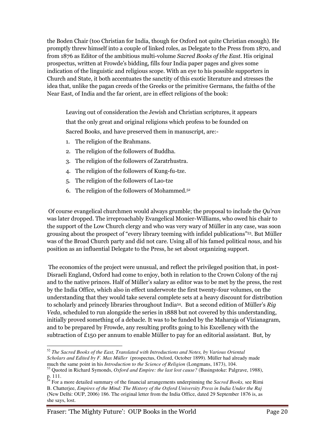the Boden Chair (too Christian for India, though for Oxford not quite Christian enough). He promptly threw himself into a couple of linked roles, as Delegate to the Press from 1870, and from 1876 as Editor of the ambitious multi-volume Sacred Books of the East. His original prospectus, written at Frowde's bidding, fills four India paper pages and gives some indication of the linguistic and religious scope. With an eye to his possible supporters in Church and State, it both accentuates the sanctity of this exotic literature and stresses the idea that, unlike the pagan creeds of the Greeks or the primitive Germans, the faiths of the Near East, of India and the far orient, are in effect religions of the book:

Leaving out of consideration the Jewish and Christian scriptures, it appears that the only great and original religions which profess to be founded on Sacred Books, and have preserved them in manuscript, are:-

- 1. The religion of the Brahmans.
- 2. The religion of the followers of Buddha.
- 3. The religion of the followers of Zaratrhustra.
- 4. The religion of the followers of Kung-fu-tze.
- 5. The religion of the followers of Lao-tze
- 6. The religion of the followers of Mohammed.<sup>52</sup>

 Of course evangelical churchmen would always grumble; the proposal to include the Qu'ran was later dropped. The irreproachably Evangelical Monier-Williams, who owed his chair to the support of the Low Church clergy and who was very wary of Müller in any case, was soon grousing about the prospect of "every library teeming with infidel publications"53. But Müller was of the Broad Church party and did not care. Using all of his famed political nous, and his position as an influential Delegate to the Press, he set about organizing support.

 The economics of the project were unusual, and reflect the privileged position that, in post-Disraeli England, Oxford had come to enjoy, both in relation to the Crown Colony of the raj and to the native princes. Half of Müller's salary as editor was to be met by the press, the rest by the India Office, which also in effect underwrote the first twenty-four volumes, on the understanding that they would take several complete sets at a heavy discount for distribution to scholarly and princely libraries throughout India<sup>54</sup>. But a second edition of Müller's Rig Veda, scheduled to run alongside the series in 1888 but not covered by this understanding, initially proved something of a debacle. It was to be funded by the Maharaja of Vizianagram, and to be prepared by Frowde, any resulting profits going to his Excellency with the subtraction of £150 per annum to enable Müller to pay for an editorial assistant. But, by

 $\overline{a}$ <sup>52</sup> *The Sacred Books of the East, Translated with Introductions and Notes, by Various Oriental Scholars and Edited by F. Max Müller* (prospectus, Oxford, October 1899). Müller had already made much the same point in his *Introduction to the Science of Religion* (Longmans, 1873), 104.

<sup>53</sup> Quoted in Richard Symonds, *Oxford and Empire: the last lost cause?* (Basingstoke: Palgrave, 1988), p. 111.

<sup>54</sup> For a more detailed summary of the financial arrangements underpinning the *Sacred Books,* see Rimi B. Chatterjee, *Empires of the Mind: The History of the Oxford University Press in India Under the Raj*  (New Delhi: OUP, 2006) 186. The original letter from the India Office, dated 29 September 1876 is, as she says, lost.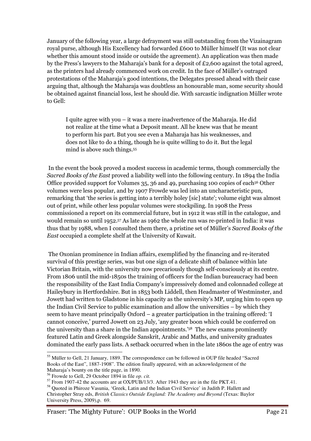January of the following year, a large defrayment was still outstanding from the Vizainagram royal purse, although His Excellency had forwarded £600 to Müller himself (It was not clear whether this amount stood inside or outside the agreement). An application was then made by the Press's lawyers to the Maharaja's bank for a deposit of £2,600 against the total agreed, as the printers had already commenced work on credit. In the face of Müller's outraged protestations of the Maharaja's good intentions, the Delegates pressed ahead with their case arguing that, although the Maharaja was doubtless an honourable man, some security should be obtained against financial loss, lest he should die. With sarcastic indignation Müller wrote to Gell:

 I quite agree with you – it was a mere inadvertence of the Maharaja. He did not realize at the time what a Deposit meant. All he knew was that he meant to perform his part. But you see even a Maharaja has his weaknesses, and does not like to do a thing, though he is quite willing to do it. But the legal mind is above such things.<sup>55</sup>

 In the event the book proved a modest success in academic terms, though commercially the Sacred Books of the East proved a liability well into the following century. In 1894 the India Office provided support for Volumes 35, 36 and 49, purchasing 100 copies of each<sup>56</sup> Other volumes were less popular, and by 1907 Frowde was led into an uncharacteristic pun, remarking that 'the series is getting into a terribly holey [sic] state'; volume eight was almost out of print, while other less popular volumes were stockpiling. In 1908 the Press commissioned a report on its commercial future, but in 1912 it was still in the catalogue, and would remain so until 1952.57 As late as 1962 the whole run was re-printed in India: it was thus that by 1988, when I consulted them there, a pristine set of Müller's Sacred Books of the East occupied a complete shelf at the University of Kuwait.

 The Oxonian prominence in Indian affairs, exemplified by the financing and re-iterated survival of this prestige series, was but one sign of a delicate shift of balance within late Victorian Britain, with the university now precariously though self-consciously at its centre. From 1806 until the mid-1850s the training of officers for the Indian bureaucracy had been the responsibility of the East India Company's impressively domed and colonnaded college at Haileybury in Hertfordshire. But in 1853 both Liddell, then Headmaster of Westminster, and Jowett had written to Gladstone in his capacity as the university's MP, urging him to open up the Indian Civil Service to public examination and allow the universities – by which they seem to have meant principally Oxford – a greater participation in the training offered: 'I cannot conceive,' purred Jowett on 23 July, 'any greater boon which could be conferred on the university than a share in the Indian appointments.'58 The new exams prominently featured Latin and Greek alongside Sanskrit, Arabic and Maths, and university graduates dominated the early pass lists. A setback occurred when in the late 1860s the age of entry was

 $\overline{a}$ <sup>55</sup> Müller to Gell, 21 January, 1889. The correspondence can be followed in OUP file headed "Sacred Books of the East", 1887-1908". The edition finally appeared, with an acknowledgement of the Maharaja's bounty on the title page, in 1890.

<sup>56</sup> Frowde to Gell, 29 October 1894 in file *op. cit.*

<sup>57</sup> From 1907-42 the accounts are at OX/PUB/13/3. After 1943 they are in the file PKT.41.

<sup>58</sup> Quoted in Phiroze Vasunia, 'Greek, Latin and the Indian Civil Service' in Judith P. Hallett and Christopher Stray eds, *British Classics Outside England: The Academy and Beyond* (Texas: Baylor University Press, 2009),p. 69.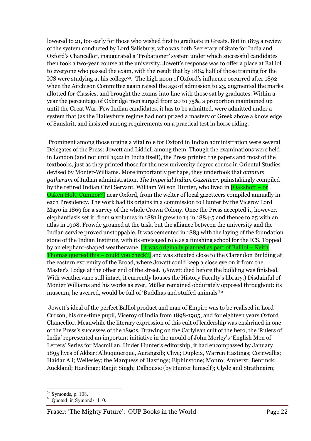lowered to 21, too early for those who wished first to graduate in Greats. But in 1875 a review of the system conducted by Lord Salisbury, who was both Secretary of State for India and Oxford's Chancellor, inaugurated a 'Probationer' system under which successful candidates then took a two-year course at the university. Jowett's response was to offer a place at Balliol to everyone who passed the exam, with the result that by 1884 half of those training for the ICS were studying at his college59. The high noon of Oxford's influence occurred after 1892 when the Aitchison Committee again raised the age of admission to 23, augmented the marks allotted for Classics, and brought the exams into line with those sat by graduates. Within a year the percentage of Oxbridge men surged from 20 to 75%, a proportion maintained up until the Great War. Few Indian candidates, it has to be admitted, were admitted under a system that (as the Haileybury regime had not) prized a mastery of Greek above a knowledge of Sanskrit, and insisted among requirements on a practical test in horse riding.

 Prominent among those urging a vital role for Oxford in Indian administration were several Delegates of the Press: Jowett and Liddell among them. Though the examinations were held in London (and not until 1922 in India itself), the Press printed the papers and most of the textbooks, just as they printed those for the new university degree course in Oriental Studies devised by Monier-Williams. More importantly perhaps, they undertook that omnium gatherum of Indian administration, The Imperial Indian Gazetteer, painstakingly compiled by the retired Indian Civil Servant, William Wilson Hunter, who lived in **[Oakshott – or**] **Oaken Holt, Cumnor?** near Oxford, from the welter of local gazetteers compiled annually in each Presidency. The work had its origins in a commission to Hunter by the Viceroy Lord Mayo in 1869 for a survey of the whole Crown Colony. Once the Press accepted it, however, elephantiasis set it: from 9 volumes in 1881 it grew to 14 in 1884-5 and thence to 25 with an atlas in 1908. Frowde groaned at the task, but the alliance between the university and the Indian service proved unstoppable. It was cemented in 1883 with the laying of the foundation stone of the Indian Institute, with its envisaged role as a finishing school for the ICS. Topped by an elephant-shaped weathervane, *it was originally planned as part of Balliol* – Keith Thomas queried this – could you check?] and was situated close to the Clarendon Building at the eastern extremity of the Broad, where Jowett could keep a close eye on it from the Master's Lodge at the other end of the street. (Jowett died before the building was finished. With weathervane still intact, it currently houses the History Faculty's library.) Disdainful of Monier Williams and his works as ever, Müller remained obdurately opposed throughout: its museum, he averred, would be full of 'Buddhas and stuffed animals'<sup>60</sup>

 Jowett's ideal of the perfect Balliol product and man of Empire was to be realised in Lord Curzon, his one-time pupil, Viceroy of India from 1898-1905, and for eighteen years Oxford Chancellor. Meanwhile the literary expression of this cult of leadership was enshrined in one of the Press's successes of the 1890s. Drawing on the Carlylean cult of the hero, the 'Rulers of India' represented an important initiative in the mould of John Morley's 'English Men of Letters' Series for Macmillan. Under Hunter's editorship, it had encompassed by January 1895 lives of Akbar; Albuquuerque, Aurangzib; Clive; Dupleix, Warren Hastings; Cornwallis; Haidar Ali; Wellesley; the Marquess of Hastings; Elphinstone; Monro; Amherst; Bentinck; Auckland; Hardinge; Ranjit Singh; Dalhousie (by Hunter himself); Clyde and Strathnairn;

 $\overline{a}$ <sup>59</sup> Symonds, p. 108.

 $60$  Quoted in Symonds, 110.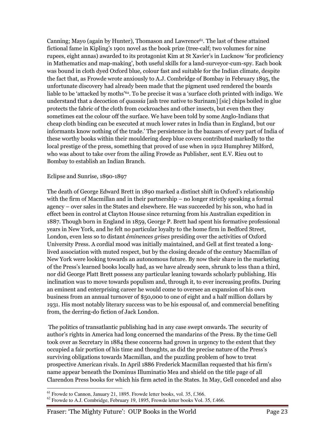Canning; Mayo (again by Hunter), Thomason and Lawrence<sup> $61$ </sup>. The last of these attained fictional fame in Kipling's 1901 novel as the book prize (tree-calf; two volumes for nine rupees, eight annas) awarded to its protagonist Kim at St Xavier's in Lucknow 'for proficiency in Mathematics and map-making', both useful skills for a land-surveyor-cum-spy. Each book was bound in cloth dyed Oxford blue, colour fast and suitable for the Indian climate, despite the fact that, as Frowde wrote anxiously to A.J. Combridge of Bombay in February 1895, the unfortunate discovery had already been made that the pigment used rendered the boards liable to be 'attacked by moths'62. To be precise it was a 'surface cloth printed with indigo. We understand that a decoction of quassia [ash tree native to Surinam] [sic] chips boiled in glue protects the fabric of the cloth from cockroaches and other insects, but even then they sometimes eat the colour off the surface. We have been told by some Anglo-Indians that cheap cloth binding can be executed at much lower rates in India than in England, but our informants know nothing of the trade.' The persistence in the bazaars of every part of India of these worthy books within their mouldering deep blue covers contributed markedly to the local prestige of the press, something that proved of use when in 1912 Humphrey Milford, who was about to take over from the ailing Frowde as Publisher, sent E.V. Rieu out to Bombay to establish an Indian Branch.

# Eclipse and Sunrise, 1890-1897

The death of George Edward Brett in 1890 marked a distinct shift in Oxford's relationship with the firm of Macmillan and in their partnership – no longer strictly speaking a formal agency – over sales in the States and elsewhere. He was succeeded by his son, who had in effect been in control at Clayton House since returning from his Australian expedition in 1887. Though born in England in 1859, George P. Brett had spent his formative professional years in New York, and he felt no particular loyalty to the home firm in Bedford Street, London, even less so to distant éminences grises presiding over the activities of Oxford University Press. A cordial mood was initially maintained, and Gell at first treated a longlived association with muted respect, but by the closing decade of the century Macmillan of New York were looking towards an autonomous future. By now their share in the marketing of the Press's learned books locally had, as we have already seen, shrunk to less than a third, nor did George Platt Brett possess any particular leaning towards scholarly publishing. His inclination was to move towards populism and, through it, to ever increasing profits. During an eminent and enterprising career he would come to oversee an expansion of his own business from an annual turnover of \$50,000 to one of eight and a half million dollars by 1931. His most notably literary success was to be his espousal of, and commercial benefiting from, the derring-do fiction of Jack London.

 The politics of transatlantic publishing had in any case swept onwards. The security of author's rights in America had long concerned the mandarins of the Press. By the time Gell took over as Secretary in 1884 these concerns had grown in urgency to the extent that they occupied a fair portion of his time and thoughts, as did the precise nature of the Press's surviving obligations towards Macmillan, and the puzzling problem of how to treat prospective American rivals. In April 1886 Frederick Macmillan requested that his firm's name appear beneath the Dominus Illuminatio Mea and shield on the title page of all Clarendon Press books for which his firm acted in the States. In May, Gell conceded and also

 $\overline{a}$  $<sup>61</sup>$  Frowde to Cannon, January 21, 1895. Frowde letter books, vol. 35, f.366.</sup>

 $62$  Frowde to A.J. Combridge, February 19, 1895, Frowde letter books Vol. 35, f.466.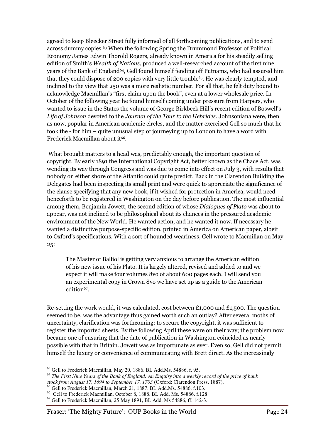agreed to keep Bleecker Street fully informed of all forthcoming publications, and to send across dummy copies.63 When the following Spring the Drummond Professor of Political Economy James Edwin Thorold Rogers, already known in America for his steadily selling edition of Smith's Wealth of Nations, produced a well-researched account of the first nine years of the Bank of England<sup>64</sup>, Gell found himself fending off Putnams, who had assured him that they could dispose of 200 copies with very little trouble65. He was clearly tempted, and inclined to the view that 250 was a more realistic number. For all that, he felt duty bound to acknowledge Macmillan's "first claim upon the book", even at a lower wholesale price. In October of the following year he found himself coming under pressure from Harpers, who wanted to issue in the States the volume of George Birkbeck Hill's recent edition of Boswell's Life of Johnson devoted to the Journal of the Tour to the Hebrides. Johnsoniana were, then as now, popular in American academic circles, and the matter exercised Gell so much that he took the - for him – quite unusual step of journeying up to London to have a word with Frederick Macmillan about it<sup>66</sup>.

 What brought matters to a head was, predictably enough, the important question of copyright. By early 1891 the International Copyright Act, better known as the Chace Act, was wending its way through Congress and was due to come into effect on July 3, with results that nobody on either shore of the Atlantic could quite predict. Back in the Clarendon Building the Delegates had been inspecting its small print and were quick to appreciate the significance of the clause specifying that any new book, if it wished for protection in America, would need henceforth to be registered in Washington on the day before publication. The most influential among them, Benjamin Jowett, the second edition of whose Dialogues of Plato was about to appear, was not inclined to be philosophical about its chances in the pressured academic environment of the New World. He wanted action, and he wanted it now. If necessary he wanted a distinctive purpose-specific edition, printed in America on American paper, albeit to Oxford's specifications. With a sort of hounded weariness, Gell wrote to Macmillan on May 25:

 The Master of Balliol is getting very anxious to arrange the American edition of his new issue of his Plato. It is largely altered, revised and added to and we expect it will make four volumes 8vo of about 600 pages each. I will send you an experimental copy in Crown 8vo we have set up as a guide to the American edition<sup>67</sup>.

Re-setting the work would, it was calculated, cost between £1,000 and £1,500. The question seemed to be, was the advantage thus gained worth such an outlay? After several moths of uncertainty, clarification was forthcoming: to secure the copyright, it was sufficient to register the imported sheets. By the following April these were on their way; the problem now became one of ensuring that the date of publication in Washington coincided as nearly possible with that in Britain. Jowett was as importunate as ever. Even so, Gell did not permit himself the luxury or convenience of communicating with Brett direct. As the increasingly

<sup>63</sup> Gell to Frederick Macmillan, May 20, 1886. BL Add.Ms. 54886, f. 95.

<sup>64</sup> *The First Nine Years of the Bank of England: An Enquiry into a weekly record of the price of bank stock from August 17, 1694 to September 17, 1703* (Oxford: Clarendon Press, 1887).

<sup>65</sup> Gell to Frederick Macmillan, March 21, 1887. BL Add.Ms. 54886, f.103.

<sup>66</sup> Gell to Frederick Macmillan, October 8, 1888. BL Add. Ms. 54886, f.128

 $67$  Gell to Frederick Macmillan, 25 May 1891, BL Add. Ms 54886, ff. 142-3.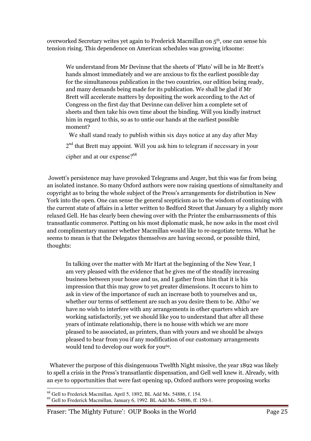overworked Secretary writes yet again to Frederick Macmillan on 5th, one can sense his tension rising. This dependence on American schedules was growing irksome:

 We understand from Mr Devinne that the sheets of 'Plato' will be in Mr Brett's hands almost immediately and we are anxious to fix the earliest possible day for the simultaneous publication in the two countries, our edition being ready, and many demands being made for its publication. We shall be glad if Mr Brett will accelerate matters by depositing the work according to the Act of Congress on the first day that Devinne can deliver him a complete set of sheets and then take his own time about the binding. Will you kindly instruct him in regard to this, so as to untie our hands at the earliest possible moment?

We shall stand ready to publish within six days notice at any day after May

2<sup>nd</sup> that Brett may appoint. Will you ask him to telegram if necessary in your

cipher and at our expense?<sup>68</sup>

 Jowett's persistence may have provoked Telegrams and Anger, but this was far from being an isolated instance. So many Oxford authors were now raising questions of simultaneity and copyright as to bring the whole subject of the Press's arrangements for distribution in New York into the open. One can sense the general scepticism as to the wisdom of continuing with the current state of affairs in a letter written to Bedford Street that January by a slightly more relaxed Gell. He has clearly been chewing over with the Printer the embarrassments of this transatlantic commerce. Putting on his most diplomatic mask, he now asks in the most civil and complimentary manner whether Macmillan would like to re-negotiate terms. What he seems to mean is that the Delegates themselves are having second, or possible third, thoughts:

 In talking over the matter with Mr Hart at the beginning of the New Year, I am very pleased with the evidence that he gives me of the steadily increasing business between your house and us, and I gather from him that it is his impression that this may grow to yet greater dimensions. It occurs to him to ask in view of the importance of such an increase both to yourselves and us, whether our terms of settlement are such as you desire them to be. Altho' we have no wish to interfere with any arrangements in other quarters which are working satisfactorily, yet we should like you to understand that after all these years of intimate relationship, there is no house with which we are more pleased to be associated, as printers, than with yours and we should be always pleased to hear from you if any modification of our customary arrangements would tend to develop our work for you<sup>69</sup>.

 Whatever the purpose of this disingenuous Twelfth Night missive, the year 1892 was likely to spell a crisis in the Press's transatlantic dispensation, and Gell well knew it. Already, with an eye to opportunities that were fast opening up, Oxford authors were proposing works

 $\overline{a}$ <sup>68</sup> Gell to Frederick Macmillan, April 5, 1892, BL Add Ms. 54886, f. 154.

<sup>69</sup> Gell to Frederick Macmillan, January 6, 1992. BL Add Ms. 54886, ff. 150-1.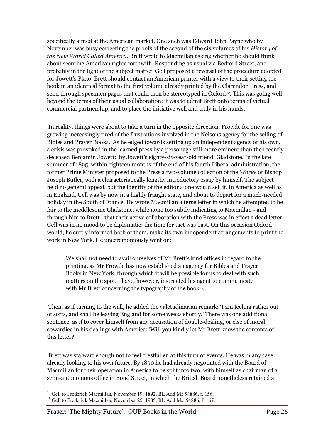specifically aimed at the American market. One such was Edward John Payne who by November was busy correcting the proofs of the second of the six volumes of his History of the New World Called America. Brett wrote to Macmillan asking whether he should think about securing American rights forthwith. Responding as usual via Bedford Street, and probably in the light of the subject matter, Gell proposed a reversal of the procedure adopted for Jowett's Plato. Brett should contact an American printer with a view to their setting the book in an identical format to the first volume already printed by the Clarendon Press, and send through specimen pages that could then be stereotyped in Oxford<sup>70</sup>. This was going well beyond the terms of their usual collaboration: it was to admit Brett onto terms of virtual commercial partnership, and to place the initiative well and truly in his hands.

 In reality, things were about to take a turn in the opposite direction. Frowde for one was growing increasingly tired of the frustrations involved in the Nelsons agency for the selling of Bibles and Prayer Books. As he edged towards setting up an independent agency of his own, a crisis was provoked in the learned press by a personage still more eminent than the recently deceased Benjamin Jowett: by Jowett's eighty-six-year-old friend, Gladstone. In the late summer of 1895, within eighteen months of the end of his fourth Liberal administration, the former Prime Minister proposed to the Press a two-volume collection of the Works of Bishop Joseph Butler, with a characteristically lengthy introductory essay by himself. The subject held no general appeal, but the identity of the editor alone would sell it, in America as well as in England. Gell was by now in a highly fraught state, and about to depart for a much-needed holiday in the South of France. He wrote Macmillan a terse letter in which he attempted to be fair to the meddlesome Gladstone, while none too subtly indicating to Macmillan - and through him to Brett - that their active collaboration with the Press was in effect a dead letter. Gell was in no mood to be diplomatic: the time for tact was past. On this occasion Oxford would, he curtly informed both of them, make its own independent arrangements to print the work in New York. He unceremoniously went on:

 We shall not need to avail ourselves of Mr Brett's kind offices in regard to the printing, as Mr Frowde has now established an agency for Bibles and Prayer Books in New York, through which it will be possible for us to deal with such matters on the spot. I have, however, instructed his agent to communicate with Mr Brett concerning the typography of the book<sup>71</sup>.

 Then, as if turning to the wall, he added the valetudinarian remark: 'I am feeling rather out of sorts, and shall be leaving England for some weeks shortly.' There was one additional sentence, as if to cover himself from any accusation of double-dealing, or else of moral cowardice in his dealings with America: 'Will you kindly let Mr Brett know the contents of this letter?'

 Brett was stalwart enough not to feel crestfallen at this turn of events. He was in any case already looking to his own future. By 1890 he had already negotiated with the Board of Macmillan for their operation in America to be split into two, with himself as chairman of a semi-autonomous office in Bond Street, in which the British Board nonetheless retained a

 $\overline{a}$  $70$  Gell to Frederick Macmillan, November 19, 1892. BL Add Ms 54886, f. 156.

 $^{71}$  Gell to Frederick Macmillan, November 25, 1985. BL Add Ms. 54886, f. 167.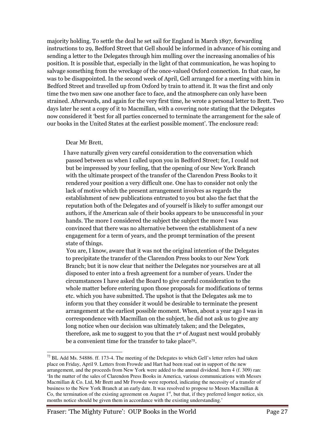majority holding. To settle the deal he set sail for England in March 1897, forwarding instructions to 29, Bedford Street that Gell should be informed in advance of his coming and sending a letter to the Delegates through him mulling over the increasing anomalies of his position. It is possible that, especially in the light of that communication, he was hoping to salvage something from the wreckage of the once-valued Oxford connection. In that case, he was to be disappointed. In the second week of April, Gell arranged for a meeting with him in Bedford Street and travelled up from Oxford by train to attend it. It was the first and only time the two men saw one another face to face, and the atmosphere can only have been strained. Afterwards, and again for the very first time, he wrote a personal letter to Brett. Two days later he sent a copy of it to Macmillan, with a covering note stating that the Delegates now considered it 'best for all parties concerned to terminate the arrangement for the sale of our books in the United States at the earliest possible moment'. The enclosure read:

#### Dear Mr Brett,

 $\overline{a}$ 

 I have naturally given very careful consideration to the conversation which passed between us when I called upon you in Bedford Street; for, I could not but be impressed by your feeling, that the opening of our New York Branch with the ultimate prospect of the transfer of the Clarendon Press Books to it rendered your position a very difficult one. One has to consider not only the lack of motive which the present arrangement involves as regards the establishment of new publications entrusted to you but also the fact that the reputation both of the Delegates and of yourself is likely to suffer amongst our authors, if the American sale of their books appears to be unsuccessful in your hands. The more I considered the subject the subject the more I was convinced that there was no alternative between the establishment of a new engagement for a term of years, and the prompt termination of the present state of things.

 You are, I know, aware that it was not the original intention of the Delegates to precipitate the transfer of the Clarendon Press books to our New York Branch; but it is now clear that neither the Delegates nor yourselves are at all disposed to enter into a fresh agreement for a number of years. Under the circumstances I have asked the Board to give careful consideration to the whole matter before entering upon those proposals for modifications of terms etc. which you have submitted. The upshot is that the Delegates ask me to inform you that they consider it would be desirable to terminate the present arrangement at the earliest possible moment. When, about a year ago I was in correspondence with Macmillan on the subject, he did not ask us to give any long notice when our decision was ultimately taken; and the Delegates, therefore, ask me to suggest to you that the 1st of August next would probably be a convenient time for the transfer to take place<sup>72</sup>.

 $72$  BL Add Ms. 54886. ff. 173-4. The meeting of the Delegates to which Gell's letter refers had taken place on Friday, April 9. Letters from Frowde and Hart had been read out in support of the new arrangement, and the proceeds from New York were added to the annual dividend. Item 4 (f. 309) ran: 'In the matter of the sales of Clarendon Press Books in America, various communications with Messrs Macmillan & Co. Ltd, Mr Brett and Mr Frowde were reported, indicating the necessity of a transfer of business to the New York Branch at an early date. It was resolved to propose to Messrs Macmillan & Co, the termination of the existing agreement on August  $1<sup>st</sup>$ , but that, if they preferred longer notice, six months notice should be given them in accordance with the existing understanding.'